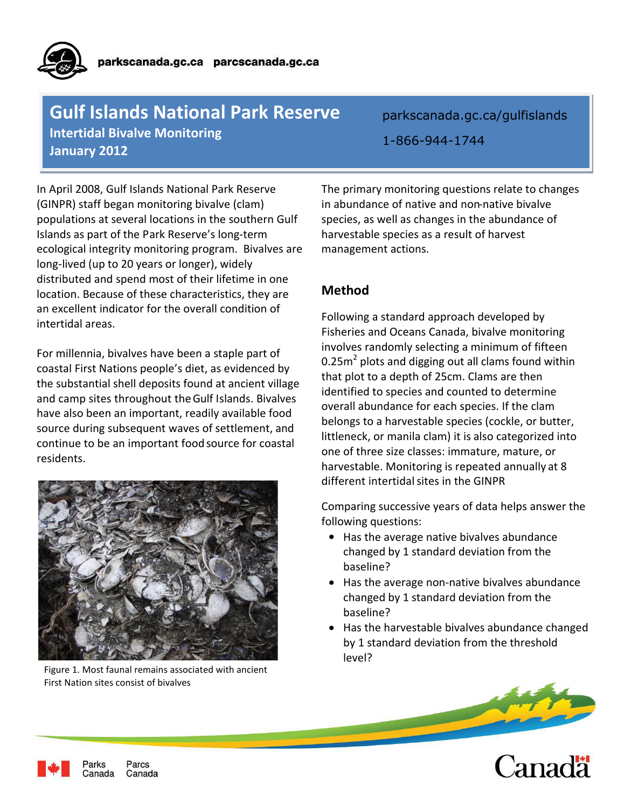# **1-Second 2012 Contractions Contracting Contractions Gulf Islands National Park Reserve Intertidal Bivalve Monitoring**

parkscanada.gc.ca/gulfislands 1-866-944-1744

In April 2008, Gulf Islands National Park Reserve (GINPR) staff began monitoring bivalve (clam) populations at several locations in the southern Gulf Islands as part of the Park Reserve's long-term ecological integrity monitoring program. Bivalves are long-lived (up to 20 years or longer), widely distributed and spend most of their lifetime in one location. Because of these characteristics, they are an excellent indicator for the overall condition of intertidal areas.

For millennia, bivalves have been a staple part of coastal First Nations people's diet, as evidenced by the substantial shell deposits found at ancient village and camp sites throughout the Gulf Islands. Bivalves have also been an important, readily available food source during subsequent waves of settlement, and continue to be an important food source for coastal residents.



Figure 1. Most faunal remains associated with ancient First Nation sites consist of bivalves

The primary monitoring questions relate to changes in abundance of native and non-native bivalve species, as well as changes in the abundance of harvestable species as a result of harvest management actions.

# **Method**

Following a standard approach developed by Fisheries and Oceans Canada, bivalve monitoring involves randomly selecting a minimum of fifteen  $0.25$ m<sup>2</sup> plots and digging out all clams found within that plot to a depth of 25cm. Clams are then identified to species and counted to determine overall abundance for each species. If the clam belongs to a harvestable species (cockle, or butter, littleneck, or manila clam) it is also categorized into one of three size classes: immature, mature, or harvestable. Monitoring is repeated annually at 8 different intertidal sites in the GINPR

Comparing successive years of data helps answer the following questions:

- Has the average native bivalves abundance changed by 1 standard deviation from the baseline?
- Has the average non-native bivalves abundance changed by 1 standard deviation from the baseline?
- Has the harvestable bivalves abundance changed by 1 standard deviation from the threshold level?